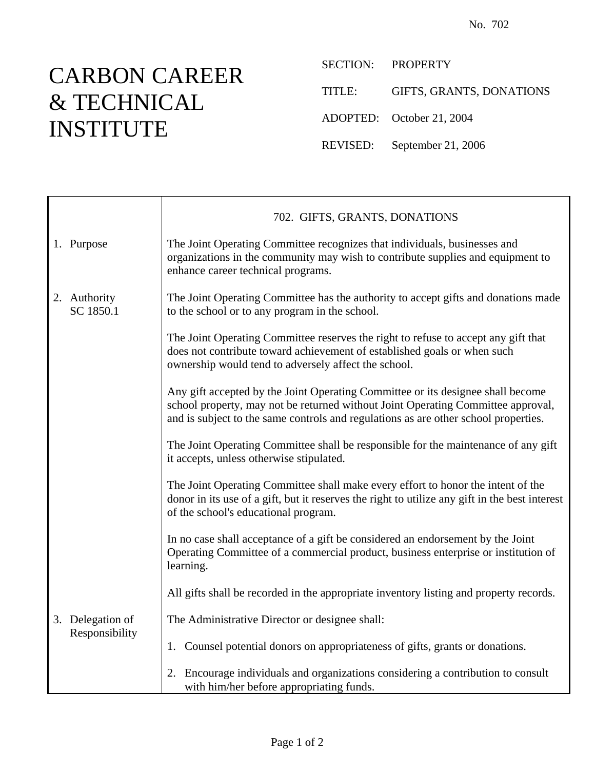## CARBON CAREER & TECHNICAL INSTITUTE

SECTION: PROPERTY

TITLE: GIFTS, GRANTS, DONATIONS

ADOPTED: October 21, 2004

REVISED: September 21, 2006

|                                    | 702. GIFTS, GRANTS, DONATIONS                                                                                                                                                                                                                              |
|------------------------------------|------------------------------------------------------------------------------------------------------------------------------------------------------------------------------------------------------------------------------------------------------------|
| 1. Purpose                         | The Joint Operating Committee recognizes that individuals, businesses and<br>organizations in the community may wish to contribute supplies and equipment to<br>enhance career technical programs.                                                         |
| 2. Authority<br>SC 1850.1          | The Joint Operating Committee has the authority to accept gifts and donations made<br>to the school or to any program in the school.                                                                                                                       |
|                                    | The Joint Operating Committee reserves the right to refuse to accept any gift that<br>does not contribute toward achievement of established goals or when such<br>ownership would tend to adversely affect the school.                                     |
|                                    | Any gift accepted by the Joint Operating Committee or its designee shall become<br>school property, may not be returned without Joint Operating Committee approval,<br>and is subject to the same controls and regulations as are other school properties. |
|                                    | The Joint Operating Committee shall be responsible for the maintenance of any gift<br>it accepts, unless otherwise stipulated.                                                                                                                             |
|                                    | The Joint Operating Committee shall make every effort to honor the intent of the<br>donor in its use of a gift, but it reserves the right to utilize any gift in the best interest<br>of the school's educational program.                                 |
|                                    | In no case shall acceptance of a gift be considered an endorsement by the Joint<br>Operating Committee of a commercial product, business enterprise or institution of<br>learning.                                                                         |
|                                    | All gifts shall be recorded in the appropriate inventory listing and property records.                                                                                                                                                                     |
| 3. Delegation of<br>Responsibility | The Administrative Director or designee shall:                                                                                                                                                                                                             |
|                                    | 1. Counsel potential donors on appropriateness of gifts, grants or donations.                                                                                                                                                                              |
|                                    | 2. Encourage individuals and organizations considering a contribution to consult<br>with him/her before appropriating funds.                                                                                                                               |